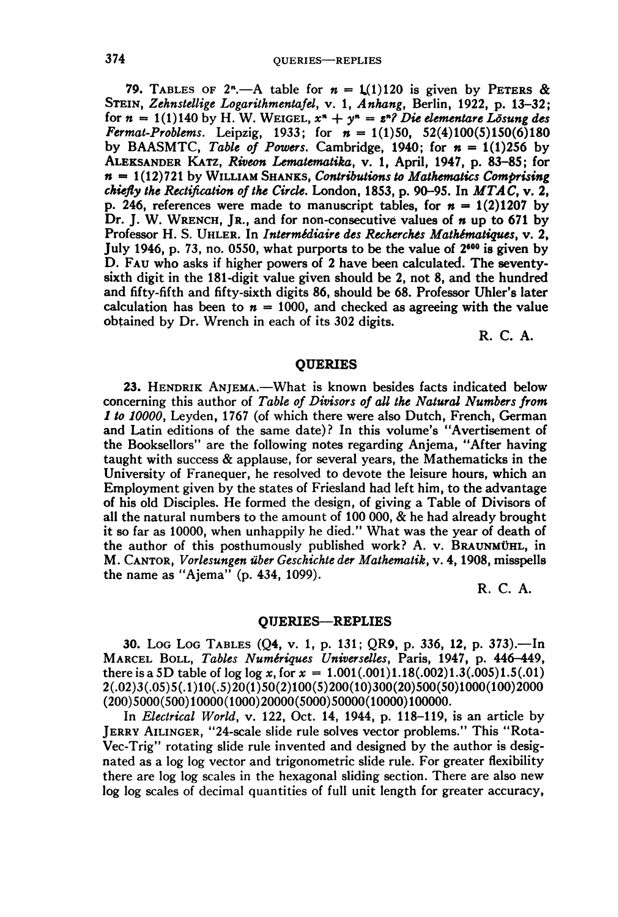79. TABLES OF 2<sup>n</sup>.—A table for  $n = 1/(1)120$  is given by PETERS & STEIN, Zehnstellige Logarithmentafel, v. 1, Anhang, Berlin, 1922, p. 13-32; for  $n = 1(1)140$  by H. W. WEIGEL,  $x^n + y^n = z^n$ ? Die elementare Lösung des Fermat-Problems. Leipzig, 1933; for  $n = 1(1)50$ , 52(4)100(5)150(6)180 by BAASMTC, Table of Powers. Cambridge, 1940; for  $n = 1(1)256$  by ALEKSANDER KATZ, Riveon Lematematika, v. 1, April, 1947, p. 83–85; for  $n = 1(12)721$  by WILLIAM SHANKS, Contributions to Mathematics Comprising chiefly the Rectification of the Circle. London, 1853, p. 90–95. In  $MTAC$ , v. 2, p. 246, references were made to manuscript tables, for  $n = 1(2)1207$  by Dr. J. W. WRENCH, Jr., and for non-consecutive values of  $n$  up to 671 by Professor H. S. Uhler. In Intermédiaire des Recherches Mathématiques, v. 2, July 1946, p. 73, no. 0550, what purports to be the value of  $2<sup>600</sup>$  is given by D. Fau who asks if higher powers of 2 have been calculated. The seventysixth digit in the 181-digit value given should be 2, not 8, and the hundred and fifty-fifth and fifty-sixth digits 86, should be 68. Professor Uhler's later calculation has been to  $n = 1000$ , and checked as agreeing with the value obtained by Dr. Wrench in each of its 302 digits.

R. C. A.

## **OUERIES**

23. HENDRIK ANJEMA.—What is known besides facts indicated below concerning this author of Table of Divisors of all the Natural Numbers from 1 to 10000, Leyden, 1767 (of which there were also Dutch, French, German and Latin editions of the same date)? In this volume's "Avertisement of the Booksellors" are the following notes regarding Anjema, "After having taught with success & applause, for several years, the Mathematicks in the University of Franequer, he resolved to devote the leisure hours, which an Employment given by the states of Friesland had left him, to the advantage of his old Disciples. He formed the design, of giving a Table of Divisors of all the natural numbers to the amount of 100 000, & he had already brought it so far as 10000, when unhappily he died." What was the year of death of the author of this posthumously published work? A. v. Braunmühl, in M. CANTOR, Vorlesungen über Geschichte der Mathematik, v. 4, 1908, misspells the name as "Ajema" (p. 434, 1099).

R. C. A.

## QUERIES—REPLIES

30. Log Log Tables (Q4, v. 1, p. 131; QR9, p. 336, 12, p. 373).—In Marcel Boll, Tables Numériques Universelles, Paris, 1947, p. 446-449, there is a 5D table of log log x, for  $x = 1.001(.001)1.18(.002)1.3(.005)1.5(.01)$ 2(.O2)3(.O5)5(.l)lO(.5)2O(l)5O(2)100(5)20O(10)3OO(2O)5O0(5O)10OO(lOO)20OO (200)5000(500)10000(1000)20000(5000)50000(10000)100000.

In *Electrical World*, v. 122, Oct. 14, 1944, p. 118–119, is an article by Jerry Ailinger, "24-scale slide rule solves vector problems." This "Rota-Vec-Trig" rotating slide rule invented and designed by the author is designated as a log log vector and trigonometric slide rule. For greater flexibility there are log log scales in the hexagonal sliding section. There are also new log log scales of decimal quantities of full unit length for greater accuracy,